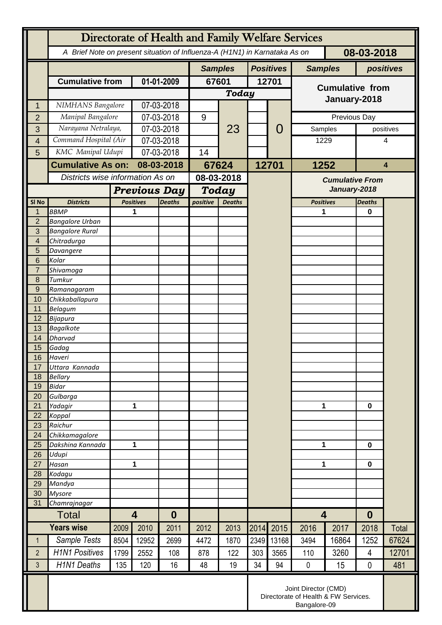|                   | Directorate of Health and Family Welfare Services                                        |                                                                              |                                     |                |                           |      |                  |                |                         |                  |                |           |  |
|-------------------|------------------------------------------------------------------------------------------|------------------------------------------------------------------------------|-------------------------------------|----------------|---------------------------|------|------------------|----------------|-------------------------|------------------|----------------|-----------|--|
|                   | 08-03-2018<br>A Brief Note on present situation of Influenza-A (H1N1) in Karnataka As on |                                                                              |                                     |                |                           |      |                  |                |                         |                  |                |           |  |
|                   |                                                                                          |                                                                              |                                     | <b>Samples</b> |                           |      | <b>Positives</b> | <b>Samples</b> | positives               |                  |                |           |  |
|                   | <b>Cumulative from</b>                                                                   |                                                                              | 01-01-2009                          |                | 67601                     |      | 12701            |                | <b>Cumulative from</b>  |                  |                |           |  |
|                   |                                                                                          |                                                                              |                                     |                | <b>Today</b>              |      |                  |                |                         |                  |                |           |  |
| 1                 | NIMHANS Bangalore                                                                        |                                                                              | 07-03-2018                          |                |                           |      |                  |                | January-2018            |                  |                |           |  |
| $\overline{2}$    | Manipal Bangalore                                                                        |                                                                              | 07-03-2018                          |                | 9                         | 23   |                  |                | Previous Day            |                  |                |           |  |
| 3                 | Narayana Netralaya,                                                                      |                                                                              | 07-03-2018                          |                |                           |      |                  | 0              | Samples                 |                  |                | positives |  |
| $\overline{4}$    | Command Hospital (Air                                                                    |                                                                              | 07-03-2018                          |                |                           |      |                  |                | 1229                    |                  |                | 4         |  |
| 5                 | KMC Manipal Udupi                                                                        |                                                                              | 07-03-2018                          |                | 14                        |      |                  |                |                         |                  |                |           |  |
|                   | <b>Cumulative As on:</b>                                                                 |                                                                              | 08-03-2018                          |                | 67624                     |      | 12701            |                | 1252                    |                  | $\overline{4}$ |           |  |
|                   | Districts wise information As on                                                         |                                                                              |                                     |                | 08-03-2018                |      |                  |                | <b>Cumulative From</b>  |                  |                |           |  |
|                   |                                                                                          |                                                                              | <b>Previous Day</b>                 |                | <b>Today</b>              |      |                  |                | January-2018            |                  |                |           |  |
| SI <sub>No</sub>  | <b>Districts</b>                                                                         |                                                                              | <b>Positives</b><br><b>Deaths</b>   |                | positive<br><b>Deaths</b> |      |                  |                | <b>Positives</b>        |                  | <b>Deaths</b>  |           |  |
| 1                 | <b>BBMP</b>                                                                              |                                                                              |                                     |                |                           |      |                  |                | 1                       |                  | $\bf{0}$       |           |  |
| $\overline{2}$    | <b>Bangalore Urban</b>                                                                   |                                                                              |                                     |                |                           |      |                  |                |                         |                  |                |           |  |
| 3                 | <b>Bangalore Rural</b>                                                                   |                                                                              |                                     |                |                           |      |                  |                |                         |                  |                |           |  |
| 4                 | Chitradurga                                                                              |                                                                              |                                     |                |                           |      |                  |                |                         |                  |                |           |  |
| 5<br>6            | Davangere<br>Kolar                                                                       |                                                                              |                                     |                |                           |      |                  |                |                         |                  |                |           |  |
| $\overline{7}$    | Shivamoga                                                                                |                                                                              |                                     |                |                           |      |                  |                |                         |                  |                |           |  |
| 8                 | Tumkur                                                                                   |                                                                              |                                     |                |                           |      |                  |                |                         |                  |                |           |  |
| 9                 | Ramanagaram                                                                              |                                                                              |                                     |                |                           |      |                  |                |                         |                  |                |           |  |
| 10                | Chikkaballapura                                                                          |                                                                              |                                     |                |                           |      |                  |                |                         |                  |                |           |  |
| 11<br>12          | <b>Belagum</b>                                                                           |                                                                              |                                     |                |                           |      |                  |                |                         |                  |                |           |  |
| 13                | <b>Bijapura</b><br><b>Bagalkote</b>                                                      |                                                                              |                                     |                |                           |      |                  |                |                         |                  |                |           |  |
| 14                | <b>Dharvad</b>                                                                           |                                                                              |                                     |                |                           |      |                  |                |                         |                  |                |           |  |
| 15                | Gadag                                                                                    |                                                                              |                                     |                |                           |      |                  |                |                         |                  |                |           |  |
| 16                | Haveri                                                                                   |                                                                              |                                     |                |                           |      |                  |                |                         |                  |                |           |  |
| 17                | Uttara Kannada                                                                           |                                                                              |                                     |                |                           |      |                  |                |                         |                  |                |           |  |
| 18<br>19          | <b>Bellary</b><br><b>Bidar</b>                                                           |                                                                              |                                     |                |                           |      |                  |                |                         |                  |                |           |  |
| 20                | Gulbarga                                                                                 |                                                                              |                                     |                |                           |      |                  |                |                         |                  |                |           |  |
| 21                | Yadagir                                                                                  |                                                                              | 1                                   |                |                           |      |                  |                | 1                       |                  | $\bf{0}$       |           |  |
| 22                | Koppal                                                                                   |                                                                              |                                     |                |                           |      |                  |                |                         |                  |                |           |  |
| 23                | Raichur                                                                                  |                                                                              |                                     |                |                           |      |                  |                |                         |                  |                |           |  |
| 24<br>25          | Chikkamagalore<br>Dakshina Kannada                                                       | 1                                                                            |                                     |                |                           |      |                  |                | 1                       |                  | $\mathbf 0$    |           |  |
| 26                | Udupi                                                                                    |                                                                              |                                     |                |                           |      |                  |                |                         |                  |                |           |  |
| 27                | Hasan                                                                                    | 1                                                                            |                                     |                |                           |      |                  |                | 1                       |                  | $\mathbf 0$    |           |  |
| 28                | Kodagu                                                                                   |                                                                              |                                     |                |                           |      |                  |                |                         |                  |                |           |  |
| 29                | Mandya                                                                                   |                                                                              |                                     |                |                           |      |                  |                |                         |                  |                |           |  |
| 30<br>31          | <b>Mysore</b><br>Chamrajnagar                                                            |                                                                              |                                     |                |                           |      |                  |                |                         |                  |                |           |  |
|                   | <b>Total</b>                                                                             |                                                                              | $\overline{\mathbf{4}}$<br>$\bf{0}$ |                |                           |      |                  |                | $\overline{\mathbf{4}}$ | $\boldsymbol{0}$ |                |           |  |
| <b>Years wise</b> |                                                                                          | 2009                                                                         | 2010                                | 2011           | 2012                      | 2013 | 2014             | 2015           | 2016                    | 2017             | 2018           | Total     |  |
| $\mathbf{1}$      | Sample Tests                                                                             | 8504                                                                         | 12952                               | 2699           | 4472                      | 1870 | 2349             | 13168          | 3494                    | 16864            | 1252           | 67624     |  |
|                   |                                                                                          |                                                                              |                                     |                |                           |      |                  |                |                         |                  |                |           |  |
| $\overline{2}$    | <b>H1N1 Positives</b>                                                                    | 1799                                                                         | 2552                                | 108            | 878                       | 122  | 303              | 3565           | 110                     | 3260             | 4              | 12701     |  |
| 3                 | <b>H1N1 Deaths</b>                                                                       | 135                                                                          | 120                                 | 16             | 48                        | 19   | 34               | 94             | $\pmb{0}$               | 15               | $\mathbf 0$    | 481       |  |
|                   |                                                                                          | Joint Director (CMD)<br>Directorate of Health & FW Services.<br>Bangalore-09 |                                     |                |                           |      |                  |                |                         |                  |                |           |  |